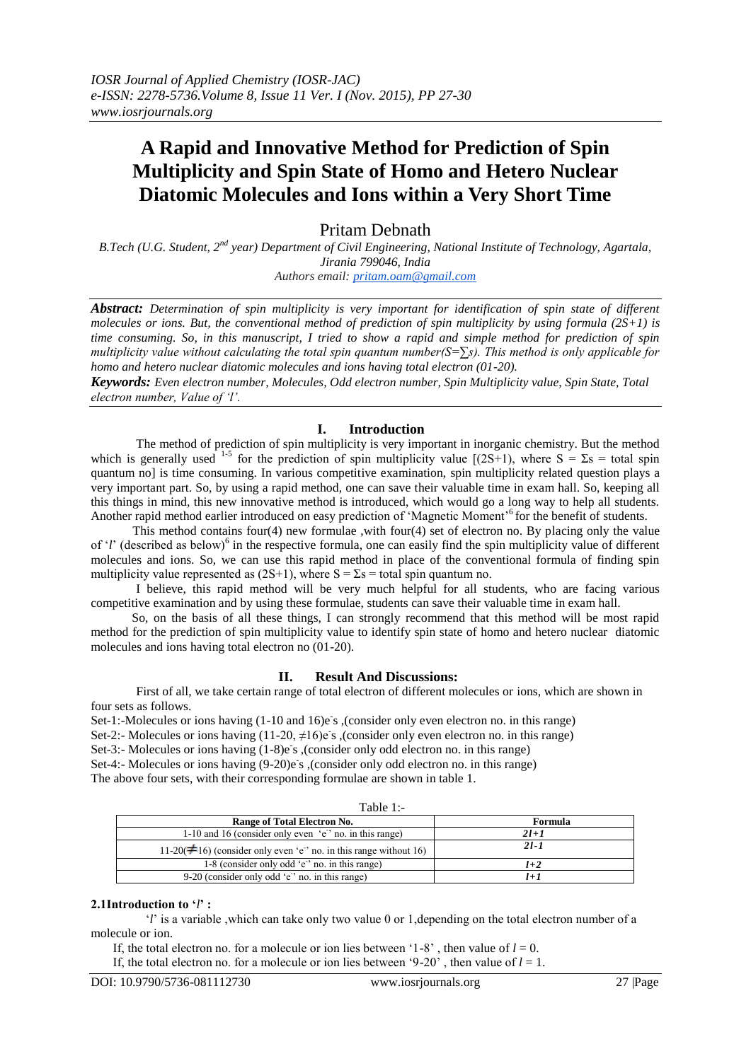# **A Rapid and Innovative Method for Prediction of Spin Multiplicity and Spin State of Homo and Hetero Nuclear Diatomic Molecules and Ions within a Very Short Time**

Pritam Debnath

*B.Tech (U.G. Student, 2nd year) Department of Civil Engineering, National Institute of Technology, Agartala, Jirania 799046, India Authors email: [pritam.oam@gmail.com](mailto:pritam.oam@gmail.com)*

*Abstract: Determination of spin multiplicity is very important for identification of spin state of different molecules or ions. But, the conventional method of prediction of spin multiplicity by using formula (2S+1) is time consuming. So, in this manuscript, I tried to show a rapid and simple method for prediction of spin multiplicity value without calculating the total spin quantum number(S=∑s). This method is only applicable for homo and hetero nuclear diatomic molecules and ions having total electron (01-20).*

*Keywords: Even electron number, Molecules, Odd electron number, Spin Multiplicity value, Spin State, Total electron number, Value of 'l'.*

# **I. Introduction**

The method of prediction of spin multiplicity is very important in inorganic chemistry. But the method which is generally used <sup>1-5</sup> for the prediction of spin multiplicity value  $[(2S+1)$ , where  $S = \Sigma s =$  total spin quantum no] is time consuming. In various competitive examination, spin multiplicity related question plays a very important part. So, by using a rapid method, one can save their valuable time in exam hall. So, keeping all this things in mind, this new innovative method is introduced, which would go a long way to help all students. Another rapid method earlier introduced on easy prediction of 'Magnetic Moment'<sup>6</sup> for the benefit of students.

 This method contains four(4) new formulae ,with four(4) set of electron no. By placing only the value of '*l*' (described as below)<sup>6</sup> in the respective formula, one can easily find the spin multiplicity value of different molecules and ions. So, we can use this rapid method in place of the conventional formula of finding spin multiplicity value represented as (2S+1), where  $S = \Sigma s =$  total spin quantum no.

 I believe, this rapid method will be very much helpful for all students, who are facing various competitive examination and by using these formulae, students can save their valuable time in exam hall.

 So, on the basis of all these things, I can strongly recommend that this method will be most rapid method for the prediction of spin multiplicity value to identify spin state of homo and hetero nuclear diatomic molecules and ions having total electron no (01-20).

#### **II. Result And Discussions:**

 First of all, we take certain range of total electron of different molecules or ions, which are shown in four sets as follows.

Set-1:-Molecules or ions having (1-10 and 16)e's , (consider only even electron no. in this range)

Set-2:- Molecules or ions having (11-20, ≠16)e<sup>s</sup> ,(consider only even electron no. in this range)

Set-3:- Molecules or ions having (1-8)e's ,(consider only odd electron no. in this range)

Set-4:- Molecules or ions having (9-20)e's , (consider only odd electron no. in this range)

The above four sets, with their corresponding formulae are shown in table 1.

| $1 \text{ and } 1.7$                                                     |          |  |  |  |
|--------------------------------------------------------------------------|----------|--|--|--|
| Range of Total Electron No.                                              | Formula  |  |  |  |
| 1-10 and 16 (consider only even $\epsilon$ ' no. in this range)          | $2l+1$   |  |  |  |
| 11-20( $\neq$ 16) (consider only even 'e'' no. in this range without 16) | $21 - 1$ |  |  |  |
| 1-8 (consider only odd 'e' no. in this range)                            | $l+2$    |  |  |  |
| 9-20 (consider only odd ' $e$ ' no. in this range)                       |          |  |  |  |

 $T<sub>o</sub>$ ble 1:

#### **2.1Introduction to '***l***' :**

 '*l*' is a variable ,which can take only two value 0 or 1,depending on the total electron number of a molecule or ion.

If, the total electron no. for a molecule or ion lies between '1-8', then value of  $l = 0$ .

If, the total electron no. for a molecule or ion lies between '9-20', then value of  $l = 1$ .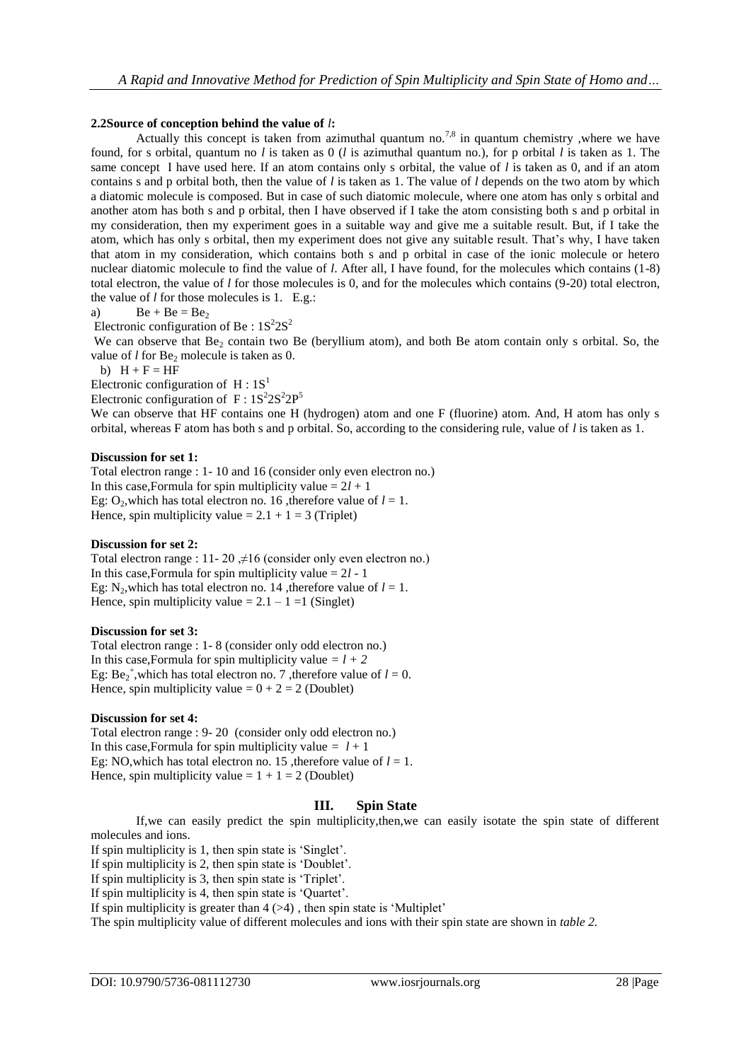### **2.2Source of conception behind the value of** *l***:**

Actually this concept is taken from azimuthal quantum no.<sup>7,8</sup> in quantum chemistry, where we have found, for s orbital, quantum no *l* is taken as 0 (*l* is azimuthal quantum no.), for p orbital *l* is taken as 1. The same concept I have used here. If an atom contains only s orbital, the value of *l* is taken as 0, and if an atom contains s and p orbital both, then the value of *l* is taken as 1. The value of *l* depends on the two atom by which a diatomic molecule is composed. But in case of such diatomic molecule, where one atom has only s orbital and another atom has both s and p orbital, then I have observed if I take the atom consisting both s and p orbital in my consideration, then my experiment goes in a suitable way and give me a suitable result. But, if I take the atom, which has only s orbital, then my experiment does not give any suitable result. That's why, I have taken that atom in my consideration, which contains both s and p orbital in case of the ionic molecule or hetero nuclear diatomic molecule to find the value of *l*. After all, I have found, for the molecules which contains (1-8) total electron, the value of *l* for those molecules is 0, and for the molecules which contains (9-20) total electron, the value of *l* for those molecules is 1. E.g.:

a)  $Be + Be = Be_2$ 

Electronic configuration of Be:  $1S<sup>2</sup>2S<sup>2</sup>$ 

We can observe that Be<sub>2</sub> contain two Be (beryllium atom), and both Be atom contain only s orbital. So, the value of  $l$  for  $Be_2$  molecule is taken as 0.

b)  $H + F = HF$ 

Electronic configuration of  $H : 1S<sup>1</sup>$ 

Electronic configuration of  $F: 1S^2 2S^2 2P^5$ 

We can observe that HF contains one H (hydrogen) atom and one F (fluorine) atom. And, H atom has only s orbital, whereas F atom has both s and p orbital. So, according to the considering rule, value of *l* is taken as 1.

#### **Discussion for set 1:**

Total electron range : 1- 10 and 16 (consider only even electron no.) In this case, Formula for spin multiplicity value  $= 2l + 1$ Eg:  $O_2$ , which has total electron no. 16, therefore value of  $l = 1$ . Hence, spin multiplicity value =  $2.1 + 1 = 3$  (Triplet)

#### **Discussion for set 2:**

Total electron range : 11- 20  $\neq$ 16 (consider only even electron no.) In this case, Formula for spin multiplicity value  $= 2l - 1$ Eg: N<sub>2</sub>, which has total electron no. 14 , therefore value of  $l = 1$ . Hence, spin multiplicity value =  $2.1 - 1 =1$  (Singlet)

#### **Discussion for set 3:**

Total electron range : 1- 8 (consider only odd electron no.) In this case, Formula for spin multiplicity value  $=$   $l + 2$ Eg:  $Be_2^+$ , which has total electron no. 7, therefore value of  $l = 0$ . Hence, spin multiplicity value  $= 0 + 2 = 2$  (Doublet)

#### **Discussion for set 4:**

Total electron range : 9- 20 (consider only odd electron no.) In this case, Formula for spin multiplicity value  $=$   $l + 1$ Eg: NO, which has total electron no. 15, therefore value of  $l = 1$ . Hence, spin multiplicity value =  $1 + 1 = 2$  (Doublet)

# **III. Spin State**

If,we can easily predict the spin multiplicity,then,we can easily isotate the spin state of different molecules and ions.

If spin multiplicity is 1, then spin state is 'Singlet'.

If spin multiplicity is 2, then spin state is 'Doublet'.

If spin multiplicity is 3, then spin state is 'Triplet'.

If spin multiplicity is 4, then spin state is 'Quartet'.

If spin multiplicity is greater than  $4 \times 4$ , then spin state is 'Multiplet'

The spin multiplicity value of different molecules and ions with their spin state are shown in *table 2.*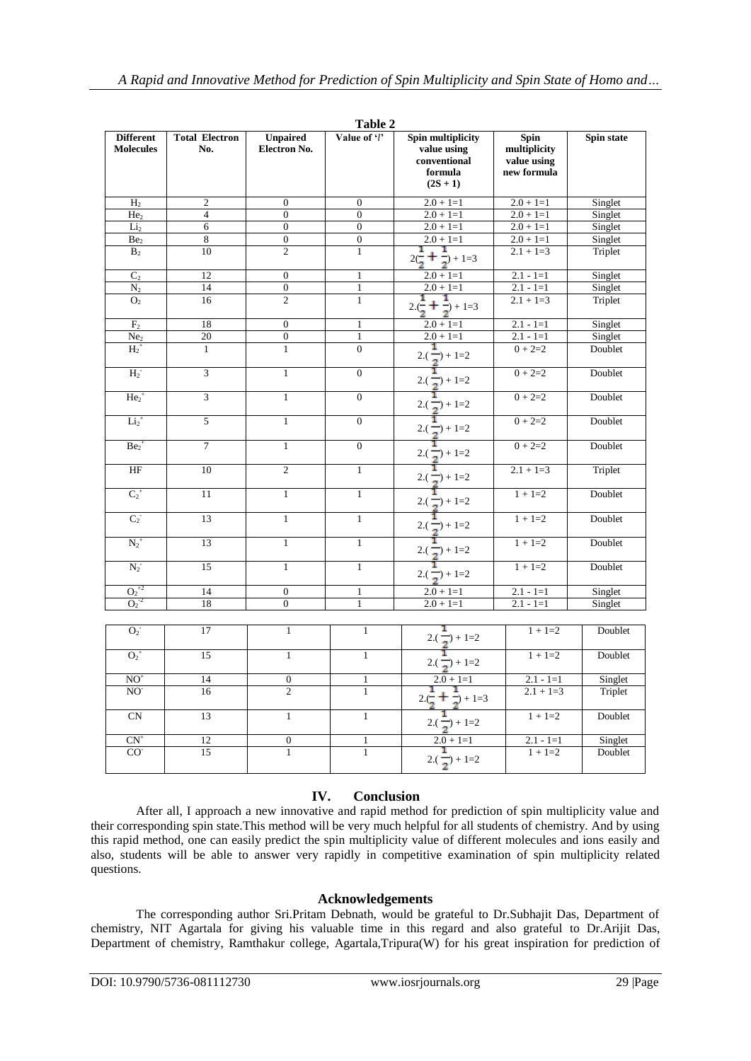| Table 2                              |                              |                          |                  |                                                                           |                                                           |            |  |
|--------------------------------------|------------------------------|--------------------------|------------------|---------------------------------------------------------------------------|-----------------------------------------------------------|------------|--|
| <b>Different</b><br><b>Molecules</b> | <b>Total Electron</b><br>No. | Unpaired<br>Electron No. | Value of 'l'     | Spin multiplicity<br>value using<br>conventional<br>formula<br>$(2S + 1)$ | <b>Spin</b><br>multiplicity<br>value using<br>new formula | Spin state |  |
| H <sub>2</sub>                       | $\sqrt{2}$                   | $\boldsymbol{0}$         | $\boldsymbol{0}$ | $2.0 + 1 = 1$                                                             | $2.0 + 1 = 1$                                             | Singlet    |  |
| He <sub>2</sub>                      | $\overline{4}$               | $\overline{0}$           | $\overline{0}$   | $2.0 + 1 = 1$                                                             | $2.0 + 1=1$                                               | Singlet    |  |
| Li <sub>2</sub>                      | 6                            | $\overline{0}$           | $\overline{0}$   | $2.0 + 1 = 1$                                                             | $2.0 + 1=1$                                               | Singlet    |  |
| Be <sub>2</sub>                      | $\overline{\bf 8}$           | $\boldsymbol{0}$         | $\boldsymbol{0}$ | $2.0 + 1 = 1$                                                             | $2.0 + 1 = 1$                                             | Singlet    |  |
| B <sub>2</sub>                       | 10                           | $\overline{c}$           | $\mathbf{1}$     | $2(\frac{1}{2} + \frac{1}{2}) + 1 = 3$                                    | $2.1 + 1=3$                                               | Triplet    |  |
| C <sub>2</sub>                       | 12                           | $\mathbf{0}$             | $\mathbf{1}$     | $2.0 + 1 = 1$                                                             | $2.1 - 1 = 1$                                             | Singlet    |  |
| $N_2$                                | 14                           | $\boldsymbol{0}$         | $\mathbf{1}$     | $2.0 + 1=1$                                                               | $2.1 - 1 = 1$                                             | Singlet    |  |
| O <sub>2</sub>                       | 16                           | $\overline{2}$           | $\overline{1}$   | $2(\frac{1}{2} + \frac{1}{2}) + 1 = 3$                                    | $2.1 + 1=3$                                               | Triplet    |  |
| F <sub>2</sub>                       | 18                           | $\boldsymbol{0}$         | $\mathbf{1}$     | $2.0 + 1 = 1$                                                             | $2.1 - 1 = 1$                                             | Singlet    |  |
| Ne <sub>2</sub>                      | 20                           | $\overline{0}$           | $\mathbf{1}$     | $2.0 + 1 = 1$                                                             | $2.1 - 1 = 1$                                             | Singlet    |  |
| $H_2^+$                              | $\mathbf{1}$                 | $\mathbf{1}$             | $\theta$         | $2(\frac{1}{2})+1=2$                                                      | $0 + 2=2$                                                 | Doublet    |  |
| $H_2^-$                              | 3                            | $\mathbf{1}$             | $\theta$         | ĩ<br>$2(\frac{1}{2})+1=2$                                                 | $0 + 2=2$                                                 | Doublet    |  |
| $He2+$                               | 3                            | $\mathbf{1}$             | $\overline{0}$   | $2(\frac{1}{2})+1=2$                                                      | $0 + 2=2$                                                 | Doublet    |  |
| $Li2+$                               | 5                            | $\mathbf{1}$             | $\overline{0}$   | 1<br>$2(\frac{1}{2})+1=2$                                                 | $0 + 2=2$                                                 | Doublet    |  |
| $Be2+$                               | $\overline{7}$               | $\mathbf{1}$             | $\boldsymbol{0}$ | $2(\frac{1}{2})+1=2$                                                      | $0 + 2=2$                                                 | Doublet    |  |
| $\rm{HF}$                            | 10                           | $\sqrt{2}$               | $\mathbf{1}$     | $2(\frac{1}{2})+1=2$                                                      | $2.1 + 1=3$                                               | Triplet    |  |
| $C_2^+$                              | 11                           | $\mathbf{1}$             | $\mathbf{1}$     | f<br>$2(\frac{1}{2})+1=2$                                                 | $1 + 1 = 2$                                               | Doublet    |  |
| $C_2^-$                              | 13                           | $\mathbf{1}$             | $\mathbf{1}$     | ĩ<br>$2(\frac{1}{2})+1=2$                                                 | $1 + 1 = 2$                                               | Doublet    |  |
| $N_2^+$                              | 13                           | $\mathbf{1}$             | $\overline{1}$   | ī<br>$2(\frac{1}{2})+1=2$                                                 | $1 + 1 = 2$                                               | Doublet    |  |
| $N_2$ <sup>-</sup>                   | 15                           | $\mathbf{1}$             | $\mathbf{1}$     | ï<br>$2(\frac{1}{2})+1=2$                                                 | $1 + 1 = 2$                                               | Doublet    |  |
| $O_2^{+2}$                           | 14                           | $\overline{0}$           | $\mathbf{1}$     | $2.0 + 1 = 1$                                                             | $2.1 - 1 = 1$                                             | Singlet    |  |
| $O_2^{-2}$                           | 18                           | $\overline{0}$           | $\mathbf{1}$     | $2.0 + 1 = 1$                                                             | $2.1 - 1 = 1$                                             | Singlet    |  |
| $O_2^-$                              | 17                           | $1\,$                    | $\mathbf{1}$     | $\frac{2(\frac{1}{2})+1=2}{1}$                                            | $1 + 1 = 2$                                               | Doublet    |  |
| $O2$ <sup>+</sup>                    | 15                           | $\mathbf{1}$             | $\mathbf{1}$     | $2(\frac{1}{2})+1=2$                                                      | $1 + 1 = 2$                                               | Doublet    |  |
| $NO+$                                | 14                           | $\boldsymbol{0}$         | $\mathbf{1}$     | $2.0 + 1=1$                                                               | $2.1 - 1 = 1$                                             | Singlet    |  |
| NO <sup>-</sup>                      | 16                           | $\overline{2}$           | $\overline{1}$   | $2 \cdot (\frac{1}{2} + \frac{1}{2}) + 1 = 3$                             | $2.1 + 1 = 3$                                             | Triplet    |  |
| <b>CN</b>                            | 13                           | $\mathbf{1}$             | $\mathbf{1}$     | $2(\frac{1}{2})+1=2$                                                      | $1 + 1 = 2$                                               | Doublet    |  |
| $CN^+$                               | 12                           | $\boldsymbol{0}$         | $\mathbf{1}$     | $2.0 + 1=1$                                                               | $2.1 - 1 = 1$                                             | Singlet    |  |
| CO <sup>2</sup>                      | 15                           | $\mathbf{1}$             | $\mathbf{1}$     | $2(\frac{1}{2})+1=2$                                                      | $1 + 1 = 2$                                               | Doublet    |  |

| anı |  |
|-----|--|
|     |  |

# **IV. Conclusion**

 After all, I approach a new innovative and rapid method for prediction of spin multiplicity value and their corresponding spin state.This method will be very much helpful for all students of chemistry. And by using this rapid method, one can easily predict the spin multiplicity value of different molecules and ions easily and also, students will be able to answer very rapidly in competitive examination of spin multiplicity related questions.

# **Acknowledgements**

The corresponding author Sri.Pritam Debnath, would be grateful to Dr.Subhajit Das, Department of chemistry, NIT Agartala for giving his valuable time in this regard and also grateful to Dr.Arijit Das, Department of chemistry, Ramthakur college, Agartala,Tripura(W) for his great inspiration for prediction of